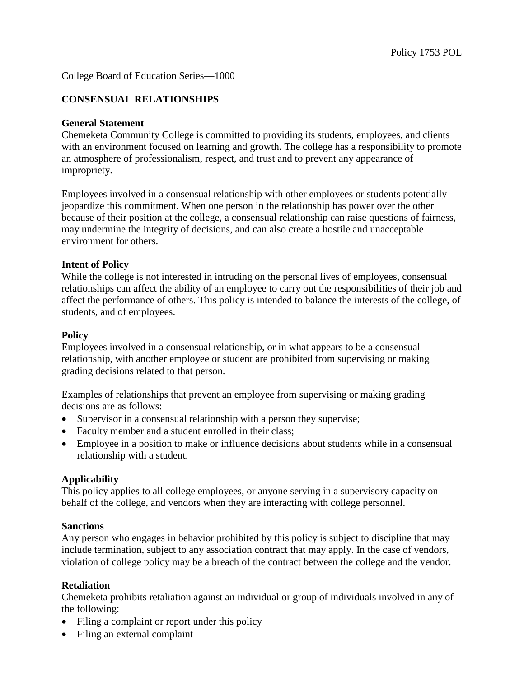## College Board of Education Series—1000

## **CONSENSUAL RELATIONSHIPS**

## **General Statement**

Chemeketa Community College is committed to providing its students, employees, and clients with an environment focused on learning and growth. The college has a responsibility to promote an atmosphere of professionalism, respect, and trust and to prevent any appearance of impropriety.

Employees involved in a consensual relationship with other employees or students potentially jeopardize this commitment. When one person in the relationship has power over the other because of their position at the college, a consensual relationship can raise questions of fairness, may undermine the integrity of decisions, and can also create a hostile and unacceptable environment for others.

### **Intent of Policy**

While the college is not interested in intruding on the personal lives of employees, consensual relationships can affect the ability of an employee to carry out the responsibilities of their job and affect the performance of others. This policy is intended to balance the interests of the college, of students, and of employees.

#### **Policy**

Employees involved in a consensual relationship, or in what appears to be a consensual relationship, with another employee or student are prohibited from supervising or making grading decisions related to that person.

Examples of relationships that prevent an employee from supervising or making grading decisions are as follows:

- Supervisor in a consensual relationship with a person they supervise;
- Faculty member and a student enrolled in their class;
- Employee in a position to make or influence decisions about students while in a consensual relationship with a student.

## **Applicability**

This policy applies to all college employees,  $\Theta$  anyone serving in a supervisory capacity on behalf of the college, and vendors when they are interacting with college personnel.

#### **Sanctions**

Any person who engages in behavior prohibited by this policy is subject to discipline that may include termination, subject to any association contract that may apply. In the case of vendors, violation of college policy may be a breach of the contract between the college and the vendor.

## **Retaliation**

Chemeketa prohibits retaliation against an individual or group of individuals involved in any of the following:

- Filing a complaint or report under this policy
- Filing an external complaint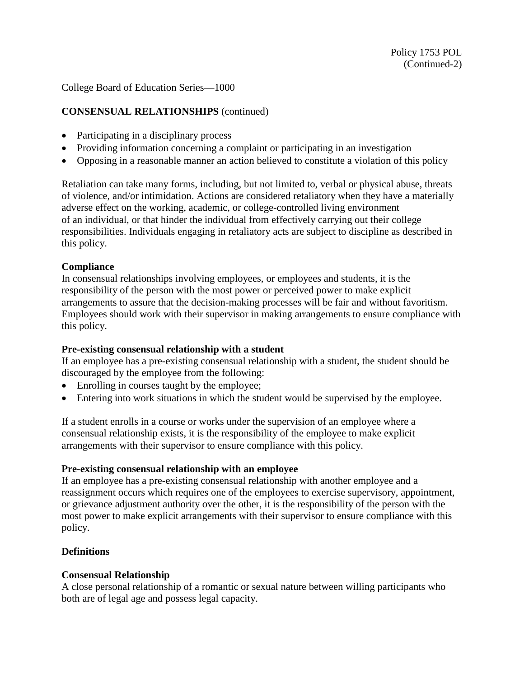College Board of Education Series—1000

# **CONSENSUAL RELATIONSHIPS** (continued)

- Participating in a disciplinary process
- Providing information concerning a complaint or participating in an investigation
- Opposing in a reasonable manner an action believed to constitute a violation of this policy

Retaliation can take many forms, including, but not limited to, verbal or physical abuse, threats of violence, and/or intimidation. Actions are considered retaliatory when they have a materially adverse effect on the working, academic, or college-controlled living environment of an individual, or that hinder the individual from effectively carrying out their college responsibilities. Individuals engaging in retaliatory acts are subject to discipline as described in this policy.

## **Compliance**

In consensual relationships involving employees, or employees and students, it is the responsibility of the person with the most power or perceived power to make explicit arrangements to assure that the decision-making processes will be fair and without favoritism. Employees should work with their supervisor in making arrangements to ensure compliance with this policy.

## **Pre-existing consensual relationship with a student**

If an employee has a pre-existing consensual relationship with a student, the student should be discouraged by the employee from the following:

- Enrolling in courses taught by the employee;
- Entering into work situations in which the student would be supervised by the employee.

If a student enrolls in a course or works under the supervision of an employee where a consensual relationship exists, it is the responsibility of the employee to make explicit arrangements with their supervisor to ensure compliance with this policy.

## **Pre-existing consensual relationship with an employee**

If an employee has a pre-existing consensual relationship with another employee and a reassignment occurs which requires one of the employees to exercise supervisory, appointment, or grievance adjustment authority over the other, it is the responsibility of the person with the most power to make explicit arrangements with their supervisor to ensure compliance with this policy.

## **Definitions**

## **Consensual Relationship**

A close personal relationship of a romantic or sexual nature between willing participants who both are of legal age and possess legal capacity.